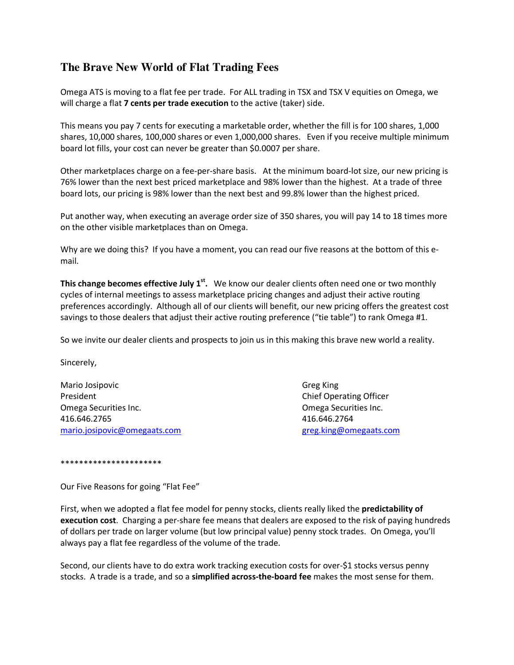## **The Brave New World of Flat Trading Fees**

Omega ATS is moving to a flat fee per trade. For ALL trading in TSX and TSX V equities on Omega, we will charge a flat 7 cents per trade execution to the active (taker) side.

This means you pay 7 cents for executing a marketable order, whether the fill is for 100 shares, 1,000 shares, 10,000 shares, 100,000 shares or even 1,000,000 shares. Even if you receive multiple minimum board lot fills, your cost can never be greater than \$0.0007 per share.

Other marketplaces charge on a fee-per-share basis. At the minimum board-lot size, our new pricing is 76% lower than the next best priced marketplace and 98% lower than the highest. At a trade of three board lots, our pricing is 98% lower than the next best and 99.8% lower than the highest priced.

Put another way, when executing an average order size of 350 shares, you will pay 14 to 18 times more on the other visible marketplaces than on Omega.

Why are we doing this? If you have a moment, you can read our five reasons at the bottom of this email.

This change becomes effective July 1<sup>st</sup>. We know our dealer clients often need one or two monthly cycles of internal meetings to assess marketplace pricing changes and adjust their active routing preferences accordingly. Although all of our clients will benefit, our new pricing offers the greatest cost savings to those dealers that adjust their active routing preference ("tie table") to rank Omega #1.

So we invite our dealer clients and prospects to join us in this making this brave new world a reality.

Sincerely,

Mario Josipovic Greg King President **Chief Operating Officer** Chief Operating Officer Omega Securities Inc. Omega Securities Inc. 416.646.2765 416.646.2764 mario.josipovic@omegaats.com greg.king@omegaats.com

\*\*\*\*\*\*\*\*\*\*\*\*\*\*\*\*\*\*\*\*\*\*

Our Five Reasons for going "Flat Fee"

First, when we adopted a flat fee model for penny stocks, clients really liked the **predictability of** execution cost. Charging a per-share fee means that dealers are exposed to the risk of paying hundreds of dollars per trade on larger volume (but low principal value) penny stock trades. On Omega, you'll always pay a flat fee regardless of the volume of the trade.

Second, our clients have to do extra work tracking execution costs for over-\$1 stocks versus penny stocks. A trade is a trade, and so a simplified across-the-board fee makes the most sense for them.